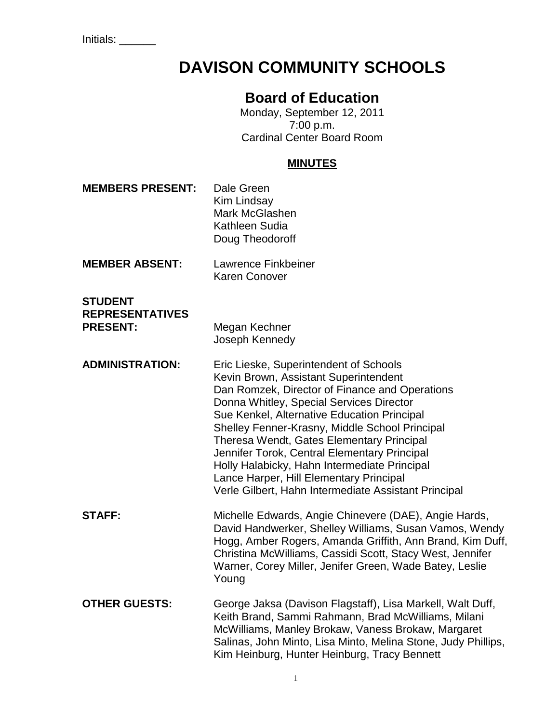# **DAVISON COMMUNITY SCHOOLS**

# **Board of Education**

Monday, September 12, 2011 7:00 p.m. Cardinal Center Board Room

#### **MINUTES**

**MEMBERS PRESENT:** Dale Green Kim Lindsay Mark McGlashen Kathleen Sudia Doug Theodoroff **MEMBER ABSENT:** Lawrence Finkbeiner Karen Conover **STUDENT REPRESENTATIVES PRESENT:** Megan Kechner Joseph Kennedy **ADMINISTRATION:** Eric Lieske, Superintendent of Schools Kevin Brown, Assistant Superintendent Dan Romzek, Director of Finance and Operations Donna Whitley, Special Services Director Sue Kenkel, Alternative Education Principal Shelley Fenner-Krasny, Middle School Principal Theresa Wendt, Gates Elementary Principal Jennifer Torok, Central Elementary Principal Holly Halabicky, Hahn Intermediate Principal Lance Harper, Hill Elementary Principal Verle Gilbert, Hahn Intermediate Assistant Principal **STAFF:** Michelle Edwards, Angie Chinevere (DAE), Angie Hards, David Handwerker, Shelley Williams, Susan Vamos, Wendy Hogg, Amber Rogers, Amanda Griffith, Ann Brand, Kim Duff, Christina McWilliams, Cassidi Scott, Stacy West, Jennifer Warner, Corey Miller, Jenifer Green, Wade Batey, Leslie Young **OTHER GUESTS:** George Jaksa (Davison Flagstaff), Lisa Markell, Walt Duff, Keith Brand, Sammi Rahmann, Brad McWilliams, Milani McWilliams, Manley Brokaw, Vaness Brokaw, Margaret Salinas, John Minto, Lisa Minto, Melina Stone, Judy Phillips, Kim Heinburg, Hunter Heinburg, Tracy Bennett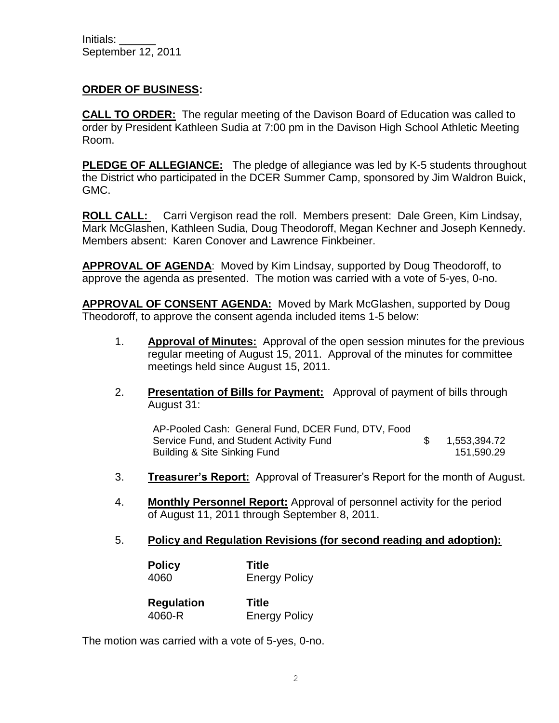Initials: \_\_\_\_\_\_ September 12, 2011

#### **ORDER OF BUSINESS:**

**CALL TO ORDER:** The regular meeting of the Davison Board of Education was called to order by President Kathleen Sudia at 7:00 pm in the Davison High School Athletic Meeting Room.

**PLEDGE OF ALLEGIANCE:** The pledge of allegiance was led by K-5 students throughout the District who participated in the DCER Summer Camp, sponsored by Jim Waldron Buick, GMC.

**ROLL CALL:** Carri Vergison read the roll. Members present: Dale Green, Kim Lindsay, Mark McGlashen, Kathleen Sudia, Doug Theodoroff, Megan Kechner and Joseph Kennedy. Members absent: Karen Conover and Lawrence Finkbeiner.

**APPROVAL OF AGENDA**: Moved by Kim Lindsay, supported by Doug Theodoroff, to approve the agenda as presented. The motion was carried with a vote of 5-yes, 0-no.

**APPROVAL OF CONSENT AGENDA:** Moved by Mark McGlashen, supported by Doug Theodoroff, to approve the consent agenda included items 1-5 below:

- 1. **Approval of Minutes:** Approval of the open session minutes for the previous regular meeting of August 15, 2011. Approval of the minutes for committee meetings held since August 15, 2011.
- 2. **Presentation of Bills for Payment:** Approval of payment of bills through August 31:

AP-Pooled Cash: General Fund, DCER Fund, DTV, Food Service Fund, and Student Activity Fund \$ 1,553,394.72 Building & Site Sinking Fund 151,590.29

- 3. **Treasurer's Report:** Approval of Treasurer's Report for the month of August.
- 4. **Monthly Personnel Report:** Approval of personnel activity for the period of August 11, 2011 through September 8, 2011.
- 5. **Policy and Regulation Revisions (for second reading and adoption):**

| <b>Policy</b> | <b>Title</b>         |
|---------------|----------------------|
| 4060          | <b>Energy Policy</b> |

| <b>Regulation</b> | <b>Title</b>         |
|-------------------|----------------------|
| 4060-R            | <b>Energy Policy</b> |

The motion was carried with a vote of 5-yes, 0-no.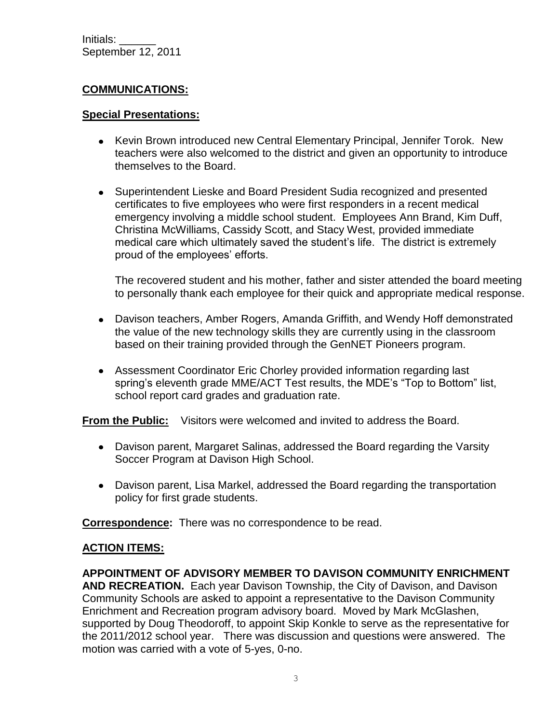# **COMMUNICATIONS:**

#### **Special Presentations:**

- Kevin Brown introduced new Central Elementary Principal, Jennifer Torok. New teachers were also welcomed to the district and given an opportunity to introduce themselves to the Board.
- Superintendent Lieske and Board President Sudia recognized and presented certificates to five employees who were first responders in a recent medical emergency involving a middle school student. Employees Ann Brand, Kim Duff, Christina McWilliams, Cassidy Scott, and Stacy West, provided immediate medical care which ultimately saved the student's life. The district is extremely proud of the employees' efforts.

The recovered student and his mother, father and sister attended the board meeting to personally thank each employee for their quick and appropriate medical response.

- Davison teachers, Amber Rogers, Amanda Griffith, and Wendy Hoff demonstrated the value of the new technology skills they are currently using in the classroom based on their training provided through the GenNET Pioneers program.
- Assessment Coordinator Eric Chorley provided information regarding last spring's eleventh grade MME/ACT Test results, the MDE's "Top to Bottom" list, school report card grades and graduation rate.

**From the Public:** Visitors were welcomed and invited to address the Board.

- Davison parent, Margaret Salinas, addressed the Board regarding the Varsity Soccer Program at Davison High School.
- Davison parent, Lisa Markel, addressed the Board regarding the transportation policy for first grade students.

**Correspondence:** There was no correspondence to be read.

### **ACTION ITEMS:**

**APPOINTMENT OF ADVISORY MEMBER TO DAVISON COMMUNITY ENRICHMENT AND RECREATION.** Each year Davison Township, the City of Davison, and Davison Community Schools are asked to appoint a representative to the Davison Community Enrichment and Recreation program advisory board. Moved by Mark McGlashen, supported by Doug Theodoroff, to appoint Skip Konkle to serve as the representative for the 2011/2012 school year. There was discussion and questions were answered. The motion was carried with a vote of 5-yes, 0-no.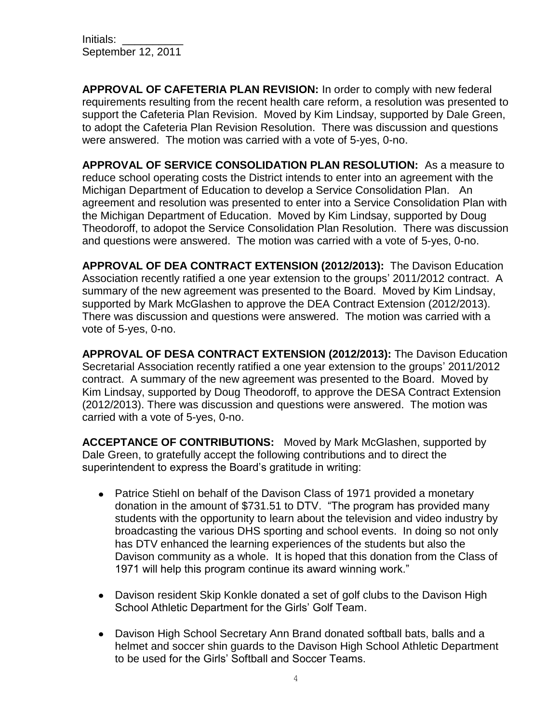Initials: September 12, 2011

**APPROVAL OF CAFETERIA PLAN REVISION:** In order to comply with new federal requirements resulting from the recent health care reform, a resolution was presented to support the Cafeteria Plan Revision. Moved by Kim Lindsay, supported by Dale Green, to adopt the Cafeteria Plan Revision Resolution. There was discussion and questions were answered. The motion was carried with a vote of 5-yes, 0-no.

**APPROVAL OF SERVICE CONSOLIDATION PLAN RESOLUTION:** As a measure to reduce school operating costs the District intends to enter into an agreement with the Michigan Department of Education to develop a Service Consolidation Plan. An agreement and resolution was presented to enter into a Service Consolidation Plan with the Michigan Department of Education. Moved by Kim Lindsay, supported by Doug Theodoroff, to adopot the Service Consolidation Plan Resolution. There was discussion and questions were answered. The motion was carried with a vote of 5-yes, 0-no.

**APPROVAL OF DEA CONTRACT EXTENSION (2012/2013):** The Davison Education Association recently ratified a one year extension to the groups' 2011/2012 contract. A summary of the new agreement was presented to the Board. Moved by Kim Lindsay, supported by Mark McGlashen to approve the DEA Contract Extension (2012/2013). There was discussion and questions were answered. The motion was carried with a vote of 5-yes, 0-no.

**APPROVAL OF DESA CONTRACT EXTENSION (2012/2013):** The Davison Education Secretarial Association recently ratified a one year extension to the groups' 2011/2012 contract. A summary of the new agreement was presented to the Board. Moved by Kim Lindsay, supported by Doug Theodoroff, to approve the DESA Contract Extension (2012/2013). There was discussion and questions were answered. The motion was carried with a vote of 5-yes, 0-no.

**ACCEPTANCE OF CONTRIBUTIONS:** Moved by Mark McGlashen, supported by Dale Green, to gratefully accept the following contributions and to direct the superintendent to express the Board's gratitude in writing:

- Patrice Stiehl on behalf of the Davison Class of 1971 provided a monetary donation in the amount of \$731.51 to DTV. "The program has provided many students with the opportunity to learn about the television and video industry by broadcasting the various DHS sporting and school events. In doing so not only has DTV enhanced the learning experiences of the students but also the Davison community as a whole. It is hoped that this donation from the Class of 1971 will help this program continue its award winning work."
- Davison resident Skip Konkle donated a set of golf clubs to the Davison High School Athletic Department for the Girls' Golf Team.
- Davison High School Secretary Ann Brand donated softball bats, balls and a helmet and soccer shin guards to the Davison High School Athletic Department to be used for the Girls' Softball and Soccer Teams.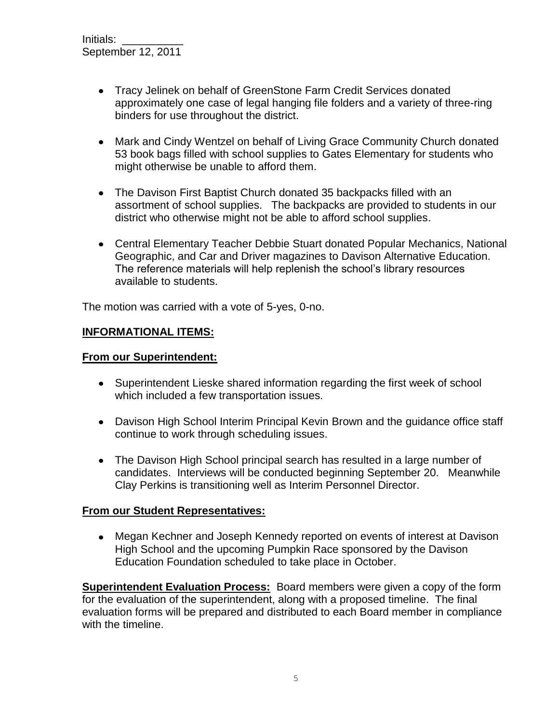- Tracy Jelinek on behalf of GreenStone Farm Credit Services donated approximately one case of legal hanging file folders and a variety of three-ring binders for use throughout the district.
- Mark and Cindy Wentzel on behalf of Living Grace Community Church donated 53 book bags filled with school supplies to Gates Elementary for students who might otherwise be unable to afford them.
- The Davison First Baptist Church donated 35 backpacks filled with an assortment of school supplies. The backpacks are provided to students in our district who otherwise might not be able to afford school supplies.
- Central Elementary Teacher Debbie Stuart donated Popular Mechanics, National Geographic, and Car and Driver magazines to Davison Alternative Education. The reference materials will help replenish the school's library resources available to students.

The motion was carried with a vote of 5-yes, 0-no.

#### **INFORMATIONAL ITEMS:**

#### **From our Superintendent:**

- Superintendent Lieske shared information regarding the first week of school which included a few transportation issues.
- Davison High School Interim Principal Kevin Brown and the guidance office staff continue to work through scheduling issues.
- The Davison High School principal search has resulted in a large number of candidates. Interviews will be conducted beginning September 20. Meanwhile Clay Perkins is transitioning well as Interim Personnel Director.

#### **From our Student Representatives:**

Megan Kechner and Joseph Kennedy reported on events of interest at Davison High School and the upcoming Pumpkin Race sponsored by the Davison Education Foundation scheduled to take place in October.

**Superintendent Evaluation Process:** Board members were given a copy of the form for the evaluation of the superintendent, along with a proposed timeline. The final evaluation forms will be prepared and distributed to each Board member in compliance with the timeline.